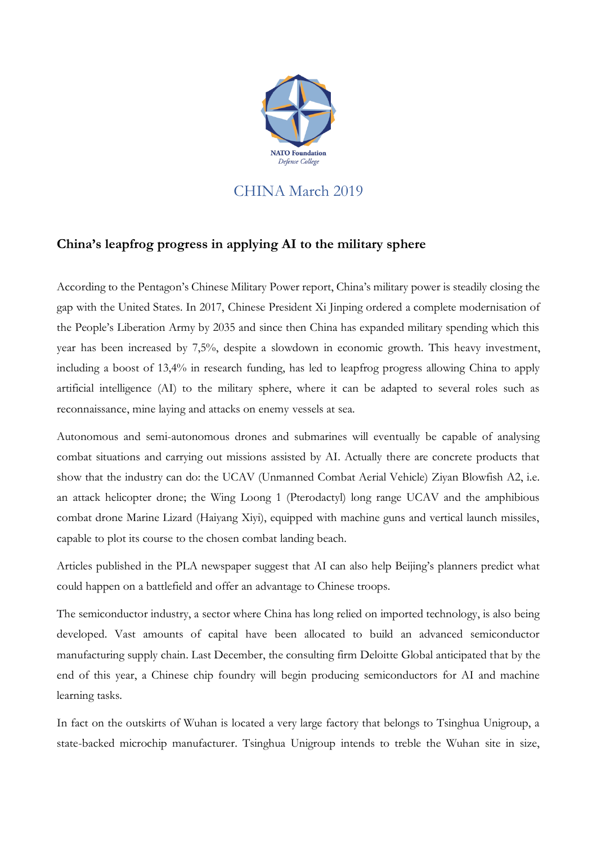

## CHINA March 2019

## **China's leapfrog progress in applying AI to the military sphere**

According to the Pentagon's Chinese Military Power report, China's military power is steadily closing the gap with the United States. In 2017, Chinese President Xi Jinping ordered a complete modernisation of the People's Liberation Army by 2035 and since then China has expanded military spending which this year has been increased by 7,5%, despite a slowdown in economic growth. This heavy investment, including a boost of 13,4% in research funding, has led to leapfrog progress allowing China to apply artificial intelligence (AI) to the military sphere, where it can be adapted to several roles such as reconnaissance, mine laying and attacks on enemy vessels at sea.

Autonomous and semi-autonomous drones and submarines will eventually be capable of analysing combat situations and carrying out missions assisted by AI. Actually there are concrete products that show that the industry can do: the UCAV (Unmanned Combat Aerial Vehicle) Ziyan Blowfish A2, i.e. an attack helicopter drone; the Wing Loong 1 (Pterodactyl) long range UCAV and the amphibious combat drone Marine Lizard (Haiyang Xiyi), equipped with machine guns and vertical launch missiles, capable to plot its course to the chosen combat landing beach.

Articles published in the PLA newspaper suggest that AI can also help Beijing's planners predict what could happen on a battlefield and offer an advantage to Chinese troops.

The semiconductor industry, a sector where China has long relied on imported technology, is also being developed. Vast amounts of capital have been allocated to build an advanced semiconductor manufacturing supply chain. Last December, the consulting firm Deloitte Global anticipated that by the end of this year, a Chinese chip foundry will begin producing semiconductors for AI and machine learning tasks.

In fact on the outskirts of Wuhan is located a very large factory that belongs to Tsinghua Unigroup, a state-backed microchip manufacturer. Tsinghua Unigroup intends to treble the Wuhan site in size,